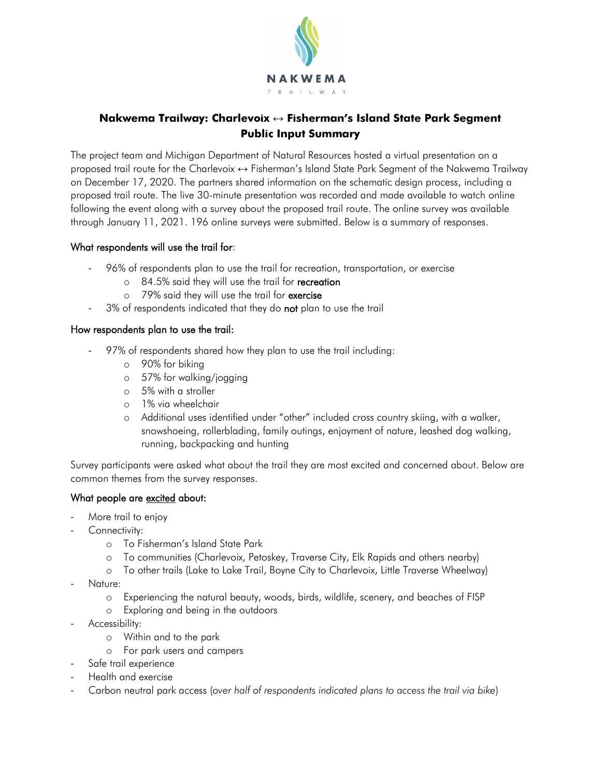

# **Nakwema Trailway: Charlevoix ↔ Fisherman's Island State Park Segment Public Input Summary**

The project team and Michigan Department of Natural Resources hosted a virtual presentation on a proposed trail route for the Charlevoix ↔ Fisherman's Island State Park Segment of the Nakwema Trailway on December 17, 2020. The partners shared information on the schematic design process, including a proposed trail route. The live 30-minute presentation was recorded and made available to watch online following the event along with a survey about the proposed trail route. The online survey was available through January 11, 2021. 196 online surveys were submitted. Below is a summary of responses.

#### What respondents will use the trail for:

- 96% of respondents plan to use the trail for recreation, transportation, or exercise
	- $\circ$  84.5% said they will use the trail for recreation
	- $\circ$  79% said they will use the trail for exercise
- 3% of respondents indicated that they do not plan to use the trail

#### How respondents plan to use the trail:

- 97% of respondents shared how they plan to use the trail including:
	- o 90% for biking
	- o 57% for walking/jogging
	- o 5% with a stroller
	- o 1% via wheelchair
	- o Additional uses identified under "other" included cross country skiing, with a walker, snowshoeing, rollerblading, family outings, enjoyment of nature, leashed dog walking, running, backpacking and hunting

Survey participants were asked what about the trail they are most excited and concerned about. Below are common themes from the survey responses.

### What people are excited about:

- More trail to enjoy
- Connectivity:
	- o To Fisherman's Island State Park
	- o To communities (Charlevoix, Petoskey, Traverse City, Elk Rapids and others nearby)
	- o To other trails (Lake to Lake Trail, Boyne City to Charlevoix, Little Traverse Wheelway)
- Nature:
	- o Experiencing the natural beauty, woods, birds, wildlife, scenery, and beaches of FISP
	- o Exploring and being in the outdoors
- Accessibility:
	- o Within and to the park
	- o For park users and campers
- Safe trail experience
- Health and exercise
- Carbon neutral park access (*over half of respondents indicated plans to access the trail via bike*)